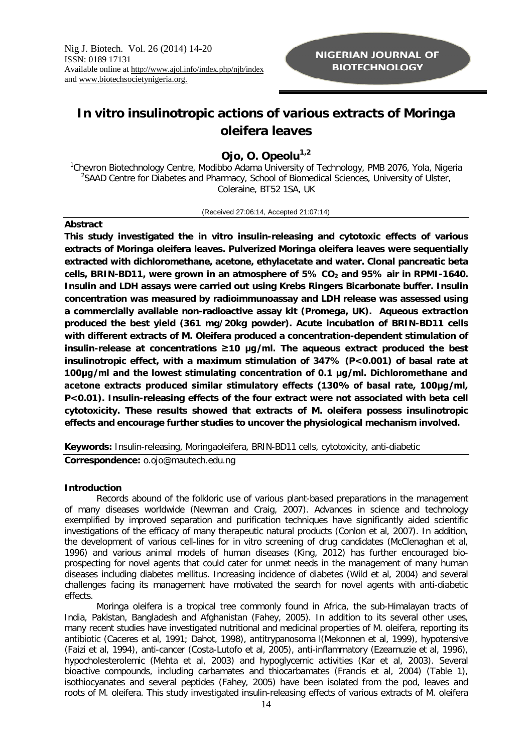# *In vitro* **insulinotropic actions of various extracts of** *Moringa oleifera* **leaves**

# **Ojo, O. Opeolu1,2**

<sup>1</sup>Chevron Biotechnology Centre, Modibbo Adama University of Technology, PMB 2076, Yola, Nigeria <sup>2</sup>SAAD Centre for Diabetes and Pharmacy, School of Biomedical Sciences, University of Ulster, Coleraine, BT52 1SA, UK

(Received 27:06:14, Accepted 21:07:14)

# **Abstract**

**This study investigated the** *in vitro* **insulin-releasing and cytotoxic effects of various extracts of** *Moringa oleifera leaves.* **Pulverized** *Moringa oleifera* **leaves were sequentially extracted with dichloromethane, acetone, ethylacetate and water. Clonal pancreatic beta cells, BRIN-BD11, were grown in an atmosphere of 5% CO<sup>2</sup> and 95% air in RPMI-1640. Insulin and LDH assays were carried out using Krebs Ringers Bicarbonate buffer. Insulin concentration was measured by radioimmunoassay and LDH release was assessed using a commercially available non-radioactive assay kit (Promega, UK). Aqueous extraction produced the best yield (361 mg/20kg powder). Acute incubation of BRIN-BD11 cells with different extracts of** *M. Oleifera* **produced a concentration-dependent stimulation of insulin-release at concentrations ≥10 µg/ml. The aqueous extract produced the best insulinotropic effect, with a maximum stimulation of 347% (P<0.001) of basal rate at 100µg/ml and the lowest stimulating concentration of 0.1 µg/ml. Dichloromethane and acetone extracts produced similar stimulatory effects (130% of basal rate, 100µg/ml, P<0.01). Insulin-releasing effects of the four extract were not associated with beta cell cytotoxicity. These results showed that extracts of** *M. oleifera* **possess insulinotropic effects and encourage further studies to uncover the physiological mechanism involved.** 

**Keywords:** Insulin-releasing, *Moringaoleifera*, BRIN-BD11 cells, cytotoxicity, anti-diabetic

*Correspondence: o.ojo@mautech.edu.ng*

# **Introduction**

Records abound of the folkloric use of various plant-based preparations in the management of many diseases worldwide (Newman and Craig, 2007). Advances in science and technology exemplified by improved separation and purification techniques have significantly aided scientific investigations of the efficacy of many therapeutic natural products (Conlon *et al*, 2007). In addition, the development of various cell-lines for *in vitro* screening of drug candidates (McClenaghan *et al*, 1996) and various animal models of human diseases (King, 2012) has further encouraged bioprospecting for novel agents that could cater for unmet needs in the management of many human diseases including diabetes mellitus. Increasing incidence of diabetes (Wild *et al*, 2004) and several challenges facing its management have motivated the search for novel agents with anti-diabetic effects.

*Moringa oleifera* is a tropical tree commonly found in Africa, the sub-Himalayan tracts of India, Pakistan, Bangladesh and Afghanistan (Fahey, 2005). In addition to its several other uses, many recent studies have investigated nutritional and medicinal properties of *M. oleifera*, reporting its antibiotic (Caceres et al, 1991; Dahot, 1998), antitrypanosoma l(Mekonnen et al, 1999), hypotensive (Faizi et al, 1994), anti-cancer (Costa-Lutofo et al, 2005), anti-inflammatory (Ezeamuzie et al, 1996), hypocholesterolemic (Mehta et al, 2003) and hypoglycemic activities (Kar et al, 2003). Several bioactive compounds, including carbamates and thiocarbamates (Francis et al, 2004) (Table 1), isothiocyanates and several peptides (Fahey, 2005) have been isolated from the pod, leaves and roots of *M. oleifera*. This study investigated insulin-releasing effects of various extracts of *M. oleifera*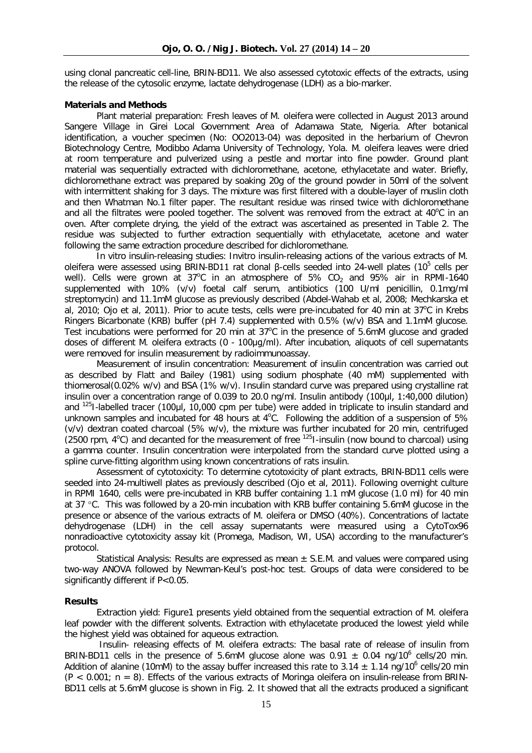using clonal pancreatic cell-line, BRIN-BD11. We also assessed cytotoxic effects of the extracts, using the release of the cytosolic enzyme, lactate dehydrogenase (LDH) as a bio-marker.

#### **Materials and Methods**

*Plant material preparation:* Fresh leaves of *M. oleifera* were collected in August 2013 around Sangere Village in Girei Local Government Area of Adamawa State, Nigeria. After botanical identification, a voucher specimen (No: OO2013-04) was deposited in the herbarium of Chevron Biotechnology Centre, Modibbo Adama University of Technology, Yola. *M. oleifera* leaves were dried at room temperature and pulverized using a pestle and mortar into fine powder. Ground plant material was sequentially extracted with dichloromethane, acetone, ethylacetate and water. Briefly, dichloromethane extract was prepared by soaking 20g of the ground powder in 50ml of the solvent with intermittent shaking for 3 days. The mixture was first filtered with a double-layer of muslin cloth and then Whatman No.1 filter paper. The resultant residue was rinsed twice with dichloromethane and all the filtrates were pooled together. The solvent was removed from the extract at  $40^{\circ}$ C in an oven. After complete drying, the yield of the extract was ascertained as presented in Table 2. The residue was subjected to further extraction sequentially with ethylacetate, acetone and water following the same extraction procedure described for dichloromethane.

*In vitro insulin-releasing studies: Invitro* insulin-releasing actions of the various extracts of *M.*  oleifera were assessed using BRIN-BD11 rat clonal β-cells seeded into 24-well plates (10<sup>5</sup> cells per well). Cells were grown at 37°C in an atmosphere of  $5\%$  CO<sub>2</sub> and 95% air in RPMI-1640 supplemented with 10% (v/v) foetal calf serum, antibiotics (100 U/ml penicillin, 0.1mg/ml streptomycin) and 11.1mM glucose as previously described (Abdel-Wahab et al, 2008; Mechkarska et al, 2010; Ojo et al, 2011). Prior to acute tests, cells were pre-incubated for 40 min at 37°C in Krebs Ringers Bicarbonate (KRB) buffer (pH 7.4) supplemented with 0.5% (w/v) BSA and 1.1mM glucose. Test incubations were performed for 20 min at 37°C in the presence of 5.6mM glucose and graded doses of different *M. oleifera* extracts (0 - 100µg/ml). After incubation, aliquots of cell supernatants were removed for insulin measurement by radioimmunoassay.

*Measurement of insulin concentration:* Measurement of insulin concentration was carried out as described by Flatt and Bailey (1981) using sodium phosphate (40 mM) supplemented with thiomerosal(0.02% w/v) and BSA (1% w/v). Insulin standard curve was prepared using crystalline rat insulin over a concentration range of 0.039 to 20.0 ng/ml. Insulin antibody (100µl, 1:40,000 dilution) and <sup>125</sup>I-labelled tracer (100µl, 10,000 cpm per tube) were added in triplicate to insulin standard and unknown samples and incubated for 48 hours at  $4^{\circ}$ C. Following the addition of a suspension of  $5\%$ (v/v) dextran coated charcoal (5% w/v), the mixture was further incubated for 20 min, centrifuged (2500 rpm,  $4^{\circ}$ C) and decanted for the measurement of free  $^{125}$ I-insulin (now bound to charcoal) using a gamma counter. Insulin concentration were interpolated from the standard curve plotted using a spline curve-fitting algorithm using known concentrations of rats insulin.

*Assessment of cytotoxicity:* To determine cytotoxicity of plant extracts, BRIN-BD11 cells were seeded into 24-multiwell plates as previously described (Ojo et al, 2011). Following overnight culture in RPMI 1640, cells were pre-incubated in KRB buffer containing 1.1 mM glucose (1.0 ml) for 40 min at 37 °C. This was followed by a 20-min incubation with KRB buffer containing 5.6mM glucose in the presence or absence of the various extracts of *M. oleifera* or DMSO (40%). Concentrations of lactate dehydrogenase (LDH) in the cell assay supernatants were measured using a CytoTox96 nonradioactive cytotoxicity assay kit (Promega, Madison, WI, USA) according to the manufacturer's protocol.

*Statistical Analysis:* Results are expressed as mean ± S.E.M. and values were compared using two-way ANOVA followed by Newman-Keul's post-hoc test. Groups of data were considered to be significantly different if P<0.05.

#### **Results**

*Extraction yield:* Figure1 presents yield obtained from the sequential extraction of *M. oleifera* leaf powder with the different solvents. Extraction with ethylacetate produced the lowest yield while the highest yield was obtained for aqueous extraction.

*Insulin- releasing effects of M. oleifera extracts:* The basal rate of release of insulin from BRIN-BD11 cells in the presence of 5.6mM glucose alone was  $0.91 \pm 0.04$  ng/10<sup>6</sup> cells/20 min. Addition of alanine (10mM) to the assay buffer increased this rate to 3.14  $\pm$  1.14 ng/10<sup>6</sup> cells/20 min (P < 0.001; n = 8). Effects of the various extracts of *Moringa oleifera* on insulin-release from BRIN-BD11 cells at 5.6mM glucose is shown in Fig. 2. It showed that all the extracts produced a significant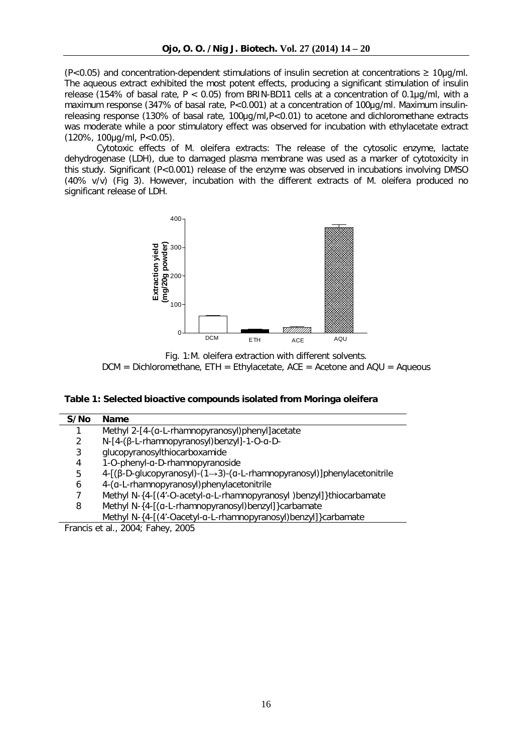$(P<0.05)$  and concentration-dependent stimulations of insulin secretion at concentrations  $\geq 10\mu q/ml$ . The aqueous extract exhibited the most potent effects, producing a significant stimulation of insulin release (154% of basal rate,  $P < 0.05$ ) from BRIN-BD11 cells at a concentration of 0.1 $\mu$ al with a maximum response (347% of basal rate, P<0.001) at a concentration of 100ug/ml. Maximum insulinreleasing response (130% of basal rate, 100µg/ml,P<0.01) to acetone and dichloromethane extracts was moderate while a poor stimulatory effect was observed for incubation with ethylacetate extract (120%, 100µg/ml, P<0.05).

*Cytotoxic effects of M. oleifera extracts:* The release of the cytosolic enzyme, lactate dehydrogenase (LDH), due to damaged plasma membrane was used as a marker of cytotoxicity in this study. Significant (P<0.001) release of the enzyme was observed in incubations involving DMSO (40% v/v) (Fig 3). However, incubation with the different extracts of *M. oleifera* produced no significant release of LDH.



Fig. 1:*M. oleifera* extraction with different solvents.  $DCM = Dichloromethane, ETH = Ethylacetate, ACE = Acetone and AQU = Aqueous$ 

#### **Table 1: Selected bioactive compounds isolated from** *Moringa oleifera*

| S/No | <b>Name</b>                                                            |
|------|------------------------------------------------------------------------|
|      | Methyl 2-[4-(a-L-rhamnopyranosyl)phenyl]acetate                        |
| 2    | N-[4-(β-L-rhamnopyranosyl)benzyl]-1-O-α-D-                             |
| 3    | glucopyranosylthiocarboxamide                                          |
| 4    | 1-O-phenyl-a-D-rhamnopyranoside                                        |
| 5    | 4-[(β-D-glucopyranosyl)-(1→3)-(α-L-rhamnopyranosyl)]phenylacetonitrile |
| 6    | 4-(a-L-rhamnopyranosyl)phenylacetonitrile                              |
|      | Methyl N-{4-[(4'-O-acetyl-a-L-rhamnopyranosyl)benzyl]}thiocarbamate    |
| 8    | Methyl N-{4-[(a-L-rhamnopyranosyl)benzyl]} carbamate                   |
|      | Methyl N-{4-[(4'-Oacetyl-a-L-rhamnopyranosyl)benzyl]}carbamate         |

Francis *et al.*, 2004; Fahey, 2005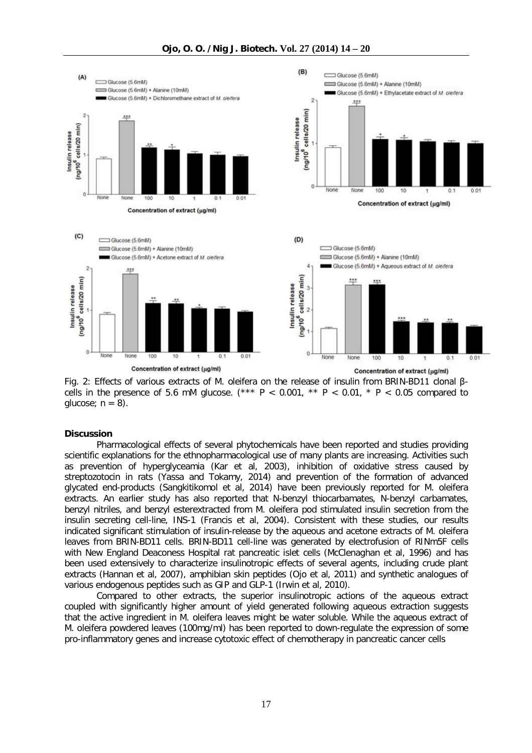

Fig. 2: Effects of various extracts of *M. oleifera* on the release of insulin from BRIN-BD11 clonal βcells in the presence of 5.6 mM glucose. (\*\*\* P < 0.001, \*\* P < 0.01, \* P < 0.05 compared to glucose;  $n = 8$ ).

#### **Discussion**

Pharmacological effects of several phytochemicals have been reported and studies providing scientific explanations for the ethnopharmacological use of many plants are increasing. Activities such as prevention of hyperglyceamia (Kar et al, 2003), inhibition of oxidative stress caused by streptozotocin in rats (Yassa and Tokamy, 2014) and prevention of the formation of advanced glycated end-products (Sangkitikomol et al, 2014) have been previously reported for *M. oleifera* extracts. An earlier study has also reported that N-benzyl thiocarbamates, N-benzyl carbamates, benzyl nitriles, and benzyl esterextracted from *M. oleifera* pod stimulated insulin secretion from the insulin secreting cell-line, INS-1 (Francis et al, 2004). Consistent with these studies, our results indicated significant stimulation of insulin-release by the aqueous and acetone extracts of *M. oleifera* leaves from BRIN-BD11 cells. BRIN-BD11 cell-line was generated by electrofusion of RINm5F cells with New England Deaconess Hospital rat pancreatic islet cells (McClenaghan et al, 1996) and has been used extensively to characterize insulinotropic effects of several agents, including crude plant extracts (Hannan et al, 2007), amphibian skin peptides (Ojo et al, 2011) and synthetic analogues of various endogenous peptides such as GIP and GLP-1 (Irwin et al, 2010).

Compared to other extracts, the superior insulinotropic actions of the aqueous extract coupled with significantly higher amount of yield generated following aqueous extraction suggests that the active ingredient in *M. oleifera* leaves might be water soluble. While the aqueous extract of *M. oleifera* powdered leaves (100mg/ml) has been reported to down-regulate the expression of some pro-inflammatory genes and increase cytotoxic effect of chemotherapy in pancreatic cancer cells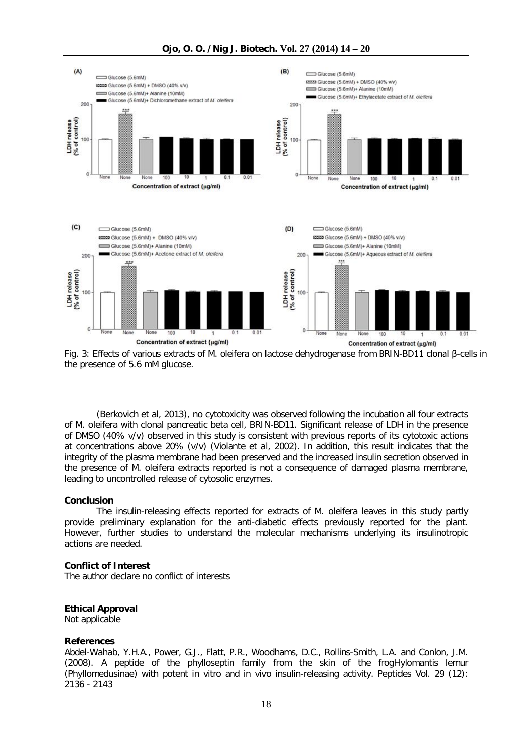

Fig. 3: Effects of various extracts of *M. oleifera* on lactose dehydrogenase from BRIN-BD11 clonal β-cells in the presence of 5.6 mM glucose.

(Berkovich et al, 2013), no cytotoxicity was observed following the incubation all four extracts of *M. oleifera* with clonal pancreatic beta cell, BRIN-BD11. Significant release of LDH in the presence of DMSO (40% v/v) observed in this study is consistent with previous reports of its cytotoxic actions at concentrations above 20% (v/v) (Violante et al, 2002). In addition, this result indicates that the integrity of the plasma membrane had been preserved and the increased insulin secretion observed in the presence of *M. oleifera* extracts reported is not a consequence of damaged plasma membrane, leading to uncontrolled release of cytosolic enzymes.

#### **Conclusion**

The insulin-releasing effects reported for extracts of *M. oleifera* leaves in this study partly provide preliminary explanation for the anti-diabetic effects previously reported for the plant. However, further studies to understand the molecular mechanisms underlying its insulinotropic actions are needed.

# **Conflict of Interest**

The author declare no conflict of interests

# **Ethical Approval**

Not applicable

#### **References**

Abdel-Wahab, Y.H.A., Power, G.J., Flatt, P.R., Woodhams, D.C., Rollins-Smith, L.A. and Conlon, J.M. (2008). A peptide of the phylloseptin family from the skin of the frog*Hylomantis lemur (Phyllomedusinae)* with potent *in vitro* and *in vivo* insulin-releasing activity. *Peptides* Vol. 29 (12): 2136 - 2143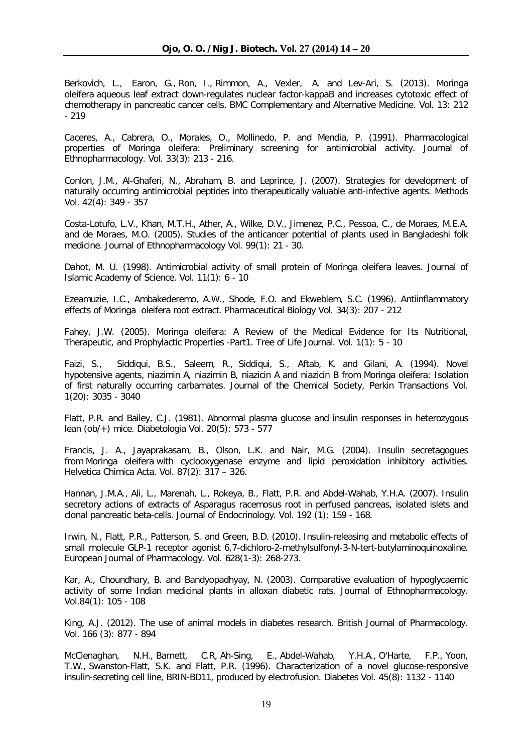Berkovich, L., Earon, G., Ron, I., Rimmon, A., Vexler, A. and Lev-Ari, S. (2013). *Moringa oleifera* aqueous leaf extract down-regulates nuclear factor-kappaB and increases cytotoxic effect of chemotherapy in pancreatic cancer cells. *BMC Complementary and Alternative Medicine.* Vol. 13: 212  $-219$ 

Caceres, A., Cabrera, O., Morales, O., Mollinedo, P. and Mendia, P. (1991). Pharmacological properties of *Moringa oleifera*: Preliminary screening for antimicrobial activity. *Journal of Ethnopharmacology.* Vol. 33(3): 213 - 216.

Conlon, J.M., Al-Ghaferi, N., Abraham, B. and Leprince, J. (2007). Strategies for development of naturally occurring antimicrobial peptides into therapeutically valuable anti-infective agents. *Methods* Vol. 42(4): 349 - 357

Costa-Lotufo, L.V., Khan, M.T.H., Ather, A., Wilke, D.V., Jimenez, P.C., Pessoa, C., de Moraes, M.E.A. and de Moraes, M.O. (2005). Studies of the anticancer potential of plants used in Bangladeshi folk medicine. *Journal of Ethnopharmacology* Vol. 99(1): 21 - 30.

Dahot, M. U. (1998). Antimicrobial activity of small protein of *Moringa oleifera* leaves. *Journal of Islamic Academy of Science.* Vol. 11(1): 6 - 10

Ezeamuzie, I.C., Ambakederemo, A.W., Shode, F.O. and Ekweblem, S.C. (1996). Antiinflammatory effects of *Moringa oleifera* root extract. *Pharmaceutical Biology* Vol. 34(3): 207 - 212

Fahey, J.W. (2005). *Moringa oleifera*: A Review of the Medical Evidence for Its Nutritional, Therapeutic, and Prophylactic Properties -Part1. *Tree of Life Journal*. Vol. 1(1): 5 - 10

Faizi, S., Siddiqui, B.S., Saleem, R., Siddiqui, S., Aftab, K. and Gilani, A. (1994). Novel hypotensive agents, niazimin A, niazimin B, niazicin A and niazicin B from *Moringa oleifera*: Isolation of first naturally occurring carbamates. *Journal of the Chemical Society, Perkin Transactions* Vol. 1(20): 3035 - 3040

Flatt, P.R. and Bailey, C.J. (1981). Abnormal plasma glucose and insulin responses in heterozygous lean (ob/+) mice. *Diabetologia* Vol. 20(5): 573 - 577

Francis, J. A., Jayaprakasam, B., Olson, L.K. and Nair, M.G. (2004). Insulin secretagogues from *Moringa oleifera* with cyclooxygenase enzyme and lipid peroxidation inhibitory activities. *Helvetica Chimica Acta.* Vol. 87(2): 317 – 326.

Hannan, J.M.A., Ali, L., Marenah, L., Rokeya, B., Flatt, P.R. and Abdel-Wahab, Y.H.A. (2007). Insulin secretory actions of extracts of Asparagus racemosus root in perfused pancreas, isolated islets and clonal pancreatic beta-cells. *Journal of Endocrinology.* Vol. 192 (1): 159 - 168.

Irwin, N., Flatt, P.R., Patterson, S. and Green, B.D. (2010). Insulin-releasing and metabolic effects of small molecule GLP-1 receptor agonist 6,7-dichloro-2-methylsulfonyl-3-N-tert-butylaminoquinoxaline. *European Journal of Pharmacology.* Vol. 628(1-3): 268-273.

Kar, A., Choundhary, B. and Bandyopadhyay, N. (2003). Comparative evaluation of hypoglycaemic activity of some Indian medicinal plants in alloxan diabetic rats. *Journal of Ethnopharmacology.*  Vol.84(1): 105 - 108

King, A.J. (2012). The use of animal models in diabetes research. *British Journal of Pharmacology*. Vol. 166 (3): 877 - 894

McClenaghan, N.H., Barnett, C.R, Ah-Sing, E., Abdel-Wahab, Y.H.A., O'Harte, F.P., Yoon, T.W., Swanston-Flatt, S.K. and Flatt, P.R. (1996). Characterization of a novel glucose-responsive insulin-secreting cell line, BRIN-BD11, produced by electrofusion. *Diabetes* Vol. 45(8): 1132 - 1140